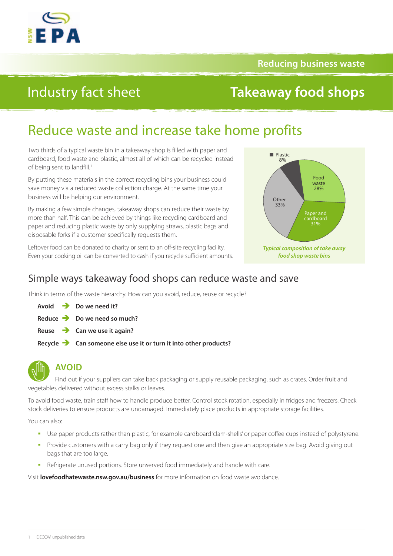

**Reducing business waste**

# Industry fact sheet

# **Takeaway food shops**

# Reduce waste and increase take home profits

Two thirds of a typical waste bin in a takeaway shop is filled with paper and cardboard, food waste and plastic, almost all of which can be recycled instead of being sent to landfill.<sup>1</sup>

By putting these materials in the correct recycling bins your business could save money via a reduced waste collection charge. At the same time your business will be helping our environment.

By making a few simple changes, takeaway shops can reduce their waste by more than half. This can be achieved by things like recycling cardboard and paper and reducing plastic waste by only supplying straws, plastic bags and disposable forks if a customer specifically requests them.

Leftover food can be donated to charity or sent to an off-site recycling facility. Even your cooking oil can be converted to cash if you recycle sufficient amounts.



### Simple ways takeaway food shops can reduce waste and save

Think in terms of the waste hierarchy. How can you avoid, reduce, reuse or recycle?

- **Avoid Do we need it?**
- **Reduce Do we need so much?**
- **Reuse Can we use it again?**
- **Recycle Can someone else use it or turn it into other products?**



### **AVOID**

Find out if your suppliers can take back packaging or supply reusable packaging, such as crates. Order fruit and vegetables delivered without excess stalks or leaves.

To avoid food waste, train staff how to handle produce better. Control stock rotation, especially in fridges and freezers. Check stock deliveries to ensure products are undamaged. Immediately place products in appropriate storage facilities.

You can also:

- Use paper products rather than plastic, for example cardboard 'clam-shells' or paper coffee cups instead of polystyrene.
- **Provide customers with a carry bag only if they request one and then give an appropriate size bag. Avoid giving out** bags that are too large.
- **-** Refrigerate unused portions. Store unserved food immediately and handle with care.

Visit **[lovefoodhatewaste.nsw.gov.au/business](http://lovefoodhatewaste.nsw.gov.au/business)** for more information on food waste avoidance.